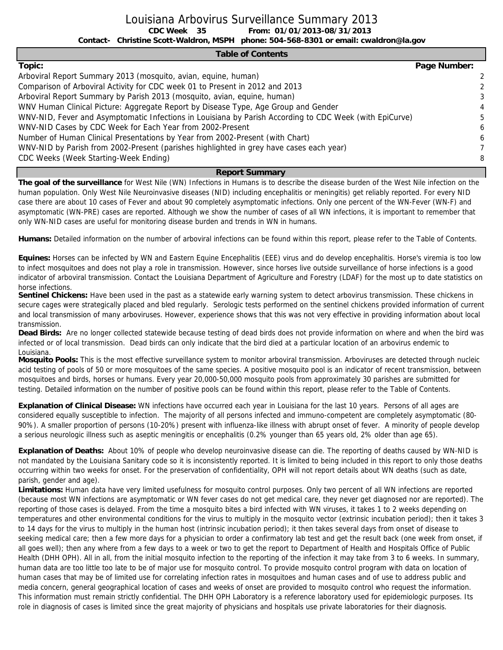Louisiana Arbovirus Surveillance Summary 2013

**CDC Week From: 01/01/2013-08/31/2013**

**Contact- Christine Scott-Waldron, MSPH phone: 504-568-8301 or email: cwaldron@la.gov**

#### **Table of Contents**

CDC Week 35

| Topic:                                                                                                  | Page Number: |    |
|---------------------------------------------------------------------------------------------------------|--------------|----|
| Arboviral Report Summary 2013 (mosquito, avian, equine, human)                                          |              | -2 |
| Comparison of Arboviral Activity for CDC week 01 to Present in 2012 and 2013                            |              |    |
| Arboviral Report Summary by Parish 2013 (mosquito, avian, equine, human)                                |              | 3  |
| WNV Human Clinical Picture: Aggregate Report by Disease Type, Age Group and Gender                      |              | 4  |
| WNV-NID, Fever and Asymptomatic Infections in Louisiana by Parish According to CDC Week (with EpiCurve) |              | 5  |
| WNV-NID Cases by CDC Week for Each Year from 2002-Present                                               |              | 6  |
| Number of Human Clinical Presentations by Year from 2002-Present (with Chart)                           |              | 6  |
| WNV-NID by Parish from 2002-Present (parishes highlighted in grey have cases each year)                 |              |    |
| CDC Weeks (Week Starting-Week Ending)                                                                   |              | 8  |

#### **Report Summary**

**The goal of the surveillance** for West Nile (WN) Infections in Humans is to describe the disease burden of the West Nile infection on the human population. Only West Nile Neuroinvasive diseases (NID) including encephalitis or meningitis) get reliably reported. For every NID case there are about 10 cases of Fever and about 90 completely asymptomatic infections. Only one percent of the WN-Fever (WN-F) and asymptomatic (WN-PRE) cases are reported. Although we show the number of cases of all WN infections, it is important to remember that only WN-NID cases are useful for monitoring disease burden and trends in WN in humans.

**Humans:** Detailed information on the number of arboviral infections can be found within this report, please refer to the Table of Contents.

**Equines:** Horses can be infected by WN and Eastern Equine Encephalitis (EEE) virus and do develop encephalitis. Horse's viremia is too low to infect mosquitoes and does not play a role in transmission. However, since horses live outside surveillance of horse infections is a good indicator of arboviral transmission. Contact the Louisiana Department of Agriculture and Forestry (LDAF) for the most up to date statistics on horse infections.

**Sentinel Chickens:** Have been used in the past as a statewide early warning system to detect arbovirus transmission. These chickens in secure cages were strategically placed and bled regularly. Serologic tests performed on the sentinel chickens provided information of current and local transmission of many arboviruses. However, experience shows that this was not very effective in providing information about local transmission.

**Dead Birds:** Are no longer collected statewide because testing of dead birds does not provide information on where and when the bird was infected or of local transmission. Dead birds can only indicate that the bird died at a particular location of an arbovirus endemic to Louisiana.

**Mosquito Pools:** This is the most effective surveillance system to monitor arboviral transmission. Arboviruses are detected through nucleic acid testing of pools of 50 or more mosquitoes of the same species. A positive mosquito pool is an indicator of recent transmission, between mosquitoes and birds, horses or humans. Every year 20,000-50,000 mosquito pools from approximately 30 parishes are submitted for testing. Detailed information on the number of positive pools can be found within this report, please refer to the Table of Contents.

**Explanation of Clinical Disease:** WN infections have occurred each year in Louisiana for the last 10 years. Persons of all ages are considered equally susceptible to infection. The majority of all persons infected and immuno-competent are completely asymptomatic (80- 90%). A smaller proportion of persons (10-20%) present with influenza-like illness with abrupt onset of fever. A minority of people develop a serious neurologic illness such as aseptic meningitis or encephalitis (0.2% younger than 65 years old, 2% older than age 65).

**Explanation of Deaths:** About 10% of people who develop neuroinvasive disease can die. The reporting of deaths caused by WN-NID is not mandated by the Louisiana Sanitary code so it is inconsistently reported. It is limited to being included in this report to only those deaths occurring within two weeks for onset. For the preservation of confidentiality, OPH will not report details about WN deaths (such as date, parish, gender and age).

**Limitations:** Human data have very limited usefulness for mosquito control purposes. Only two percent of all WN infections are reported (because most WN infections are asymptomatic or WN fever cases do not get medical care, they never get diagnosed nor are reported). The reporting of those cases is delayed. From the time a mosquito bites a bird infected with WN viruses, it takes 1 to 2 weeks depending on temperatures and other environmental conditions for the virus to multiply in the mosquito vector (extrinsic incubation period); then it takes 3 to 14 days for the virus to multiply in the human host (intrinsic incubation period); it then takes several days from onset of disease to seeking medical care; then a few more days for a physician to order a confirmatory lab test and get the result back (one week from onset, if all goes well); then any where from a few days to a week or two to get the report to Department of Health and Hospitals Office of Public Health (DHH OPH). All in all, from the initial mosquito infection to the reporting of the infection it may take from 3 to 6 weeks. In summary, human data are too little too late to be of major use for mosquito control. To provide mosquito control program with data on location of human cases that may be of limited use for correlating infection rates in mosquitoes and human cases and of use to address public and media concern, general geographical location of cases and weeks of onset are provided to mosquito control who request the information. This information must remain strictly confidential. The DHH OPH Laboratory is a reference laboratory used for epidemiologic purposes. Its role in diagnosis of cases is limited since the great majority of physicians and hospitals use private laboratories for their diagnosis.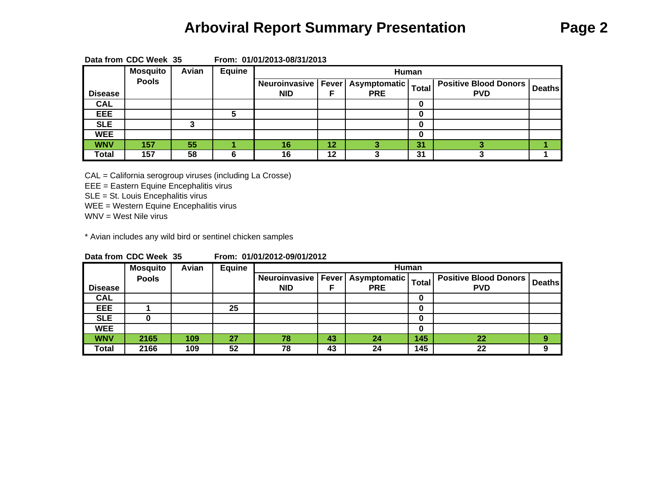### **Arboviral Report Summary Presentation Page 2**

|                | Data from UDU Week 35 |       |        | <b>From: UTIUTIZUT3-08/31/ZUT3</b> |    |                      |              |                              |               |
|----------------|-----------------------|-------|--------|------------------------------------|----|----------------------|--------------|------------------------------|---------------|
|                | <b>Mosquito</b>       | Avian | Equine |                                    |    | Human                |              |                              |               |
|                | <b>Pools</b>          |       |        | Neuroinvasive                      |    | Fever   Asymptomatic | <b>Total</b> | <b>Positive Blood Donors</b> | <b>Deaths</b> |
| <b>Disease</b> |                       |       |        | <b>NID</b>                         |    | <b>PRE</b>           |              | <b>PVD</b>                   |               |
| <b>CAL</b>     |                       |       |        |                                    |    |                      |              |                              |               |
| <b>EEE</b>     |                       |       |        |                                    |    |                      | 0            |                              |               |
| <b>SLE</b>     |                       |       |        |                                    |    |                      | 0            |                              |               |
| <b>WEE</b>     |                       |       |        |                                    |    |                      |              |                              |               |
| <b>WNV</b>     | 157                   | 55    |        | 16                                 | 12 |                      | 31           |                              |               |
| <b>Total</b>   | 157                   | 58    |        | 16                                 | 12 |                      | 31           |                              |               |

**Data from CDC Week 35 From: 01/01/2013-08/31/2013**

CAL = California serogroup viruses (including La Crosse)

EEE = Eastern Equine Encephalitis virus

SLE = St. Louis Encephalitis virus

WEE = Western Equine Encephalitis virus

WNV = West Nile virus

\* Avian includes any wild bird or sentinel chicken samples

| Data from CDC Week 35 |  | From: 01/01/2012-09/01/2012 |
|-----------------------|--|-----------------------------|
|                       |  |                             |

|                | <b>Mosquito</b> | Avian | Equine |                      |    |                               | Human        |                              |               |
|----------------|-----------------|-------|--------|----------------------|----|-------------------------------|--------------|------------------------------|---------------|
|                | <b>Pools</b>    |       |        | <b>Neuroinvasive</b> |    | <b>Fever   Asymptomatic  </b> | <b>Total</b> | <b>Positive Blood Donors</b> | <b>Deaths</b> |
| <b>Disease</b> |                 |       |        | <b>NID</b>           |    | <b>PRE</b>                    |              | <b>PVD</b>                   |               |
| <b>CAL</b>     |                 |       |        |                      |    |                               |              |                              |               |
| EEE            |                 |       | 25     |                      |    |                               |              |                              |               |
| <b>SLE</b>     |                 |       |        |                      |    |                               |              |                              |               |
| <b>WEE</b>     |                 |       |        |                      |    |                               |              |                              |               |
| <b>WNV</b>     | 2165            | 109   | 27     | 78                   | 43 | 24                            | 145          | 22                           | 9             |
| Total          | 2166            | 109   | 52     | 78                   | 43 | 24                            | 145          | 22                           | 9             |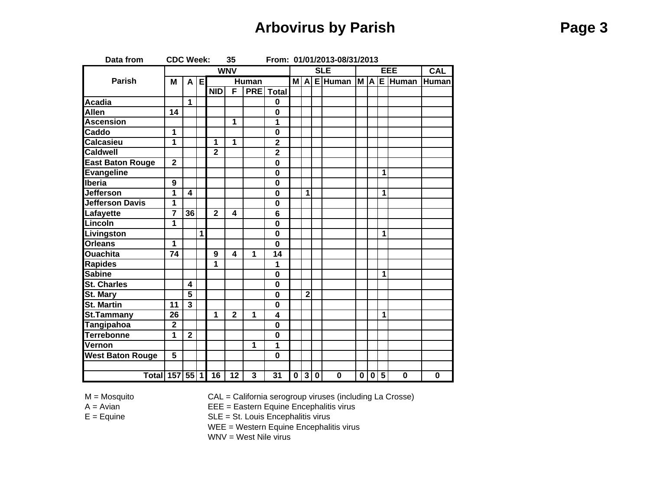## **Arbovirus by Parish Page 3**

| Data from               | <b>CDC Week:</b>        |                         |                |                 | 35                      |                      |                         |                         |                |     | From: 01/01/2013-08/31/2013 |    |                             |                         |                |              |
|-------------------------|-------------------------|-------------------------|----------------|-----------------|-------------------------|----------------------|-------------------------|-------------------------|----------------|-----|-----------------------------|----|-----------------------------|-------------------------|----------------|--------------|
|                         |                         |                         |                |                 | <b>WNV</b>              |                      |                         |                         |                |     | <b>SLE</b>                  |    |                             |                         | EEE            | <b>CAL</b>   |
| <b>Parish</b>           | M                       |                         | A E            |                 |                         | <b>Human</b>         |                         |                         |                |     | $M A E$ Human               | MA |                             |                         | <b>E</b> Human | <b>Human</b> |
|                         |                         |                         |                | <b>NID</b>      | F                       |                      | <b>PRE</b> Total        |                         |                |     |                             |    |                             |                         |                |              |
| <b>Acadia</b>           |                         | 1                       |                |                 |                         |                      | $\mathbf 0$             |                         |                |     |                             |    |                             |                         |                |              |
| <b>Allen</b>            | 14                      |                         |                |                 |                         |                      | $\mathbf 0$             |                         |                |     |                             |    |                             |                         |                |              |
| <b>Ascension</b>        |                         |                         |                |                 | 1                       |                      | 1                       |                         |                |     |                             |    |                             |                         |                |              |
| Caddo                   | 1                       |                         |                |                 |                         |                      | $\mathbf 0$             |                         |                |     |                             |    |                             |                         |                |              |
| <b>Calcasieu</b>        | 1                       |                         |                | 1               | 1                       |                      | $\overline{\mathbf{2}}$ |                         |                |     |                             |    |                             |                         |                |              |
| <b>Caldwell</b>         |                         |                         |                | $\mathbf{2}$    |                         |                      | $\mathbf{2}$            |                         |                |     |                             |    |                             |                         |                |              |
| East Baton Rouge        | $\overline{2}$          |                         |                |                 |                         |                      | $\mathbf 0$             |                         |                |     |                             |    |                             |                         |                |              |
| <b>Evangeline</b>       |                         |                         |                |                 |                         |                      | $\mathbf 0$             |                         |                |     |                             |    |                             | 1                       |                |              |
| <b>Iberia</b>           | 9                       |                         |                |                 |                         |                      | $\mathbf 0$             |                         |                |     |                             |    |                             |                         |                |              |
| <b>Jefferson</b>        | 1                       | $\overline{\mathbf{4}}$ |                |                 |                         |                      | $\mathbf 0$             |                         | 1              |     |                             |    |                             | 1                       |                |              |
| Jefferson Davis         | 1                       |                         |                |                 |                         |                      | $\mathbf 0$             |                         |                |     |                             |    |                             |                         |                |              |
| Lafayette               | $\overline{\mathbf{7}}$ | 36                      |                | $\overline{2}$  | $\overline{\mathbf{4}}$ |                      | $\overline{6}$          |                         |                |     |                             |    |                             |                         |                |              |
| Lincoln                 | 1                       |                         |                |                 |                         |                      | $\mathbf 0$             |                         |                |     |                             |    |                             |                         |                |              |
| Livingston              |                         |                         | $\overline{1}$ |                 |                         |                      | $\mathbf 0$             |                         |                |     |                             |    |                             | 1                       |                |              |
| <b>Orleans</b>          | 1                       |                         |                |                 |                         |                      | $\mathbf 0$             |                         |                |     |                             |    |                             |                         |                |              |
| <b>Ouachita</b>         | 74                      |                         |                | 9               | 4                       | $\blacktriangleleft$ | 14                      |                         |                |     |                             |    |                             |                         |                |              |
| <b>Rapides</b>          |                         |                         |                | 1               |                         |                      | 1                       |                         |                |     |                             |    |                             |                         |                |              |
| <b>Sabine</b>           |                         |                         |                |                 |                         |                      | $\mathbf 0$             |                         |                |     |                             |    |                             | $\overline{\mathbf{1}}$ |                |              |
| <b>St. Charles</b>      |                         | $\overline{\mathbf{4}}$ |                |                 |                         |                      | $\mathbf 0$             |                         |                |     |                             |    |                             |                         |                |              |
| <b>St. Mary</b>         |                         | $\overline{\mathbf{5}}$ |                |                 |                         |                      | $\mathbf 0$             |                         | $\overline{2}$ |     |                             |    |                             |                         |                |              |
| <b>St. Martin</b>       | $\overline{11}$         | $\overline{3}$          |                |                 |                         |                      | $\overline{\mathbf{0}}$ |                         |                |     |                             |    |                             |                         |                |              |
| St.Tammany              | $\overline{26}$         |                         |                | 1               | $\overline{\mathbf{2}}$ | 1                    | $\overline{\mathbf{4}}$ |                         |                |     |                             |    |                             | 1                       |                |              |
| <b>Tangipahoa</b>       | $\overline{2}$          |                         |                |                 |                         |                      | $\mathbf 0$             |                         |                |     |                             |    |                             |                         |                |              |
| <b>Terrebonne</b>       | 1                       | $\overline{2}$          |                |                 |                         |                      | $\mathbf 0$             |                         |                |     |                             |    |                             |                         |                |              |
| Vernon                  |                         |                         |                |                 |                         | $\mathbf 1$          | 1                       |                         |                |     |                             |    |                             |                         |                |              |
| <b>West Baton Rouge</b> | $\overline{5}$          |                         |                |                 |                         |                      | $\mathbf 0$             |                         |                |     |                             |    |                             |                         |                |              |
|                         |                         |                         |                |                 |                         |                      |                         |                         |                |     |                             |    |                             |                         |                |              |
| Total 157 55 1          |                         |                         |                | $\overline{16}$ | $\overline{12}$         | 3                    | $\overline{31}$         | $\overline{\mathbf{0}}$ |                | 3 0 | $\overline{\mathbf{0}}$     |    | $0\overline{0\overline{5}}$ |                         | $\mathbf 0$    | $\mathbf 0$  |

M = Mosquito CAL = California serogroup viruses (including La Crosse)

 $EEE = E$ astern Equine Encephalitis virus

E = Equine SLE = St. Louis Encephalitis virus

WEE = Western Equine Encephalitis virus

WNV = West Nile virus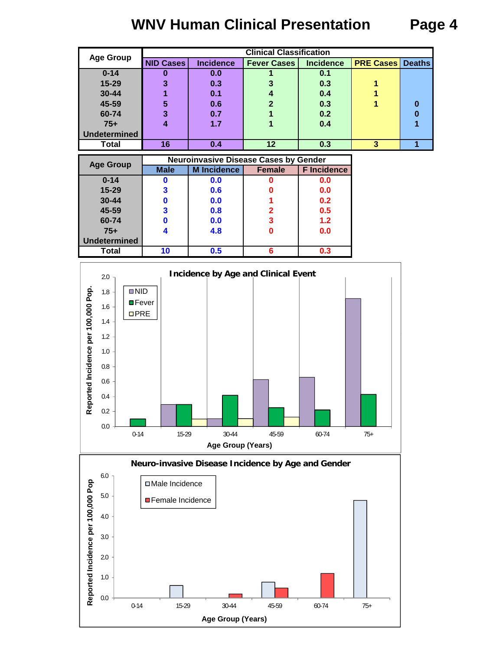# **WNV Human Clinical Presentation Page 4**

|                     |                  |                  | <b>Clinical Classification</b> |                  |                  |               |
|---------------------|------------------|------------------|--------------------------------|------------------|------------------|---------------|
| <b>Age Group</b>    | <b>NID Cases</b> | <b>Incidence</b> | <b>Fever Cases</b>             | <b>Incidence</b> | <b>PRE Cases</b> | <b>Deaths</b> |
| $0 - 14$            | 0                | 0.0              |                                | 0.1              |                  |               |
| $15 - 29$           | 3                | 0.3              | 3                              | 0.3              |                  |               |
| 30-44               |                  | 0.1              |                                | 0.4              |                  |               |
| 45-59               | 5                | 0.6              | າ                              | 0.3              |                  | 0             |
| 60-74               | 3                | 0.7              |                                | 0.2              |                  | 0             |
| $75+$               |                  | 1.7              |                                | 0.4              |                  |               |
| <b>Undetermined</b> |                  |                  |                                |                  |                  |               |
| Total               | 16               | 0.4              | 12                             | 0.3              | 3                |               |

| <b>Age Group</b>    |             | <b>Neuroinvasive Disease Cases by Gender</b> |               |                    |
|---------------------|-------------|----------------------------------------------|---------------|--------------------|
|                     | <b>Male</b> | <b>M</b> Incidence                           | <b>Female</b> | <b>F</b> Incidence |
| $0 - 14$            |             | 0.0                                          |               | 0.0                |
| $15 - 29$           |             | 0.6                                          |               | 0.0                |
| $30 - 44$           |             | 0.0                                          |               | 0.2                |
| 45-59               |             | 0.8                                          |               | 0.5                |
| 60-74               |             | 0.0                                          |               | 1.2                |
| $75+$               |             | 4.8                                          |               | 0.0                |
| <b>Undetermined</b> |             |                                              |               |                    |
| <b>Total</b>        | 10          | 0.5                                          |               | 0.3                |





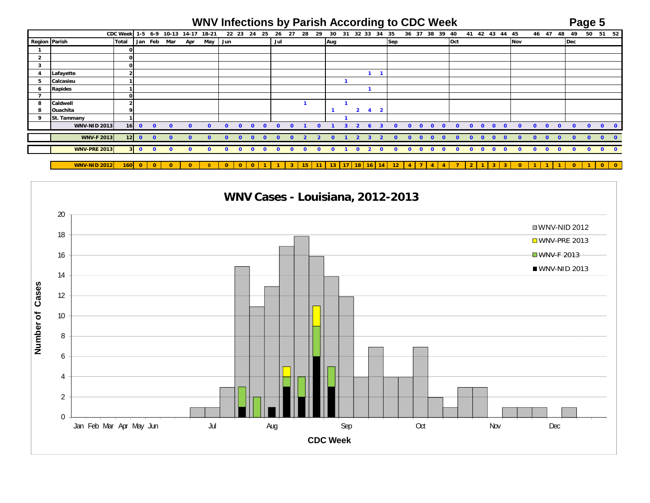### **WNV Infections by Parish According to CDC Week Page 5**

|                         |                     | <b>CDC Week</b> |                         | $1 - 5 6 - 9$           | 10-13 14-17  |              | 18-21        |              | 22 23 | 24           | - 25     | 26           | 27       | 28           | 29       | 30           | 31 | 32 33                            | 34                      | 35           | 36 37        |          | 38<br>39 | 40       |              | 41        |              | 42 43 44 45  |              |              | 46 47        |              | -48          | 49           | 50           | 51        | 52           |
|-------------------------|---------------------|-----------------|-------------------------|-------------------------|--------------|--------------|--------------|--------------|-------|--------------|----------|--------------|----------|--------------|----------|--------------|----|----------------------------------|-------------------------|--------------|--------------|----------|----------|----------|--------------|-----------|--------------|--------------|--------------|--------------|--------------|--------------|--------------|--------------|--------------|-----------|--------------|
| <b>Region Parish</b>    |                     | <b>Total</b>    |                         | Jan Feb                 | Mar          | Apr          | May          | Jun          |       |              |          | Jul          |          |              |          | Aug          |    |                                  |                         | <b>Sep</b>   |              |          |          | Oct      |              |           |              |              |              | Nov          |              |              |              | Dec          |              |           |              |
|                         |                     | 0               |                         |                         |              |              |              |              |       |              |          |              |          |              |          |              |    |                                  |                         |              |              |          |          |          |              |           |              |              |              |              |              |              |              |              |              |           |              |
| $\overline{\mathbf{2}}$ |                     | $\mathbf{o}$    |                         |                         |              |              |              |              |       |              |          |              |          |              |          |              |    |                                  |                         |              |              |          |          |          |              |           |              |              |              |              |              |              |              |              |              |           |              |
| 3                       |                     | $\Omega$        |                         |                         |              |              |              |              |       |              |          |              |          |              |          |              |    |                                  |                         |              |              |          |          |          |              |           |              |              |              |              |              |              |              |              |              |           |              |
| 4                       | Lafayette           |                 |                         |                         |              |              |              |              |       |              |          |              |          |              |          |              |    |                                  |                         |              |              |          |          |          |              |           |              |              |              |              |              |              |              |              |              |           |              |
| 5                       | Calcasieu           |                 |                         |                         |              |              |              |              |       |              |          |              |          |              |          |              |    |                                  |                         |              |              |          |          |          |              |           |              |              |              |              |              |              |              |              |              |           |              |
| 6                       | <b>Rapides</b>      |                 |                         |                         |              |              |              |              |       |              |          |              |          |              |          |              |    |                                  |                         |              |              |          |          |          |              |           |              |              |              |              |              |              |              |              |              |           |              |
| 7                       |                     | $\Omega$        |                         |                         |              |              |              |              |       |              |          |              |          |              |          |              |    |                                  |                         |              |              |          |          |          |              |           |              |              |              |              |              |              |              |              |              |           |              |
| 8                       | Caldwell            |                 |                         |                         |              |              |              |              |       |              |          |              |          |              |          |              |    |                                  |                         |              |              |          |          |          |              |           |              |              |              |              |              |              |              |              |              |           |              |
| 8                       | Ouachita            |                 |                         |                         |              |              |              |              |       |              |          |              |          |              |          |              |    | $\overline{2}$<br>$\overline{4}$ | $\overline{\mathbf{2}}$ |              |              |          |          |          |              |           |              |              |              |              |              |              |              |              |              |           |              |
| 9                       | St. Tammany         |                 |                         |                         |              |              |              |              |       |              |          |              |          |              |          |              |    |                                  |                         |              |              |          |          |          |              |           |              |              |              |              |              |              |              |              |              |           |              |
|                         | <b>WNV-NID 2013</b> | 16              | $\mathbf{0}$            | $\mathbf{0}$            | $\Omega$     | $\Omega$     | $\Omega$     | n.           |       | $\Omega$     |          | $\Omega$     |          |              | $\Omega$ |              |    | $\mathbf{\Omega}$                |                         | $\Omega$     | $\mathbf{O}$ | $\Omega$ | $\Omega$ | $\Omega$ |              | $\Omega$  | $\Omega$     | $\Omega$     | $\Omega$     | $\Omega$     | $\Omega$     | $\Omega$     | $\Omega$     | $\Omega$     | $\Omega$     | $\bullet$ | $\mathbf{0}$ |
|                         |                     |                 |                         |                         |              |              |              |              |       |              |          |              |          |              |          |              |    |                                  |                         |              |              |          |          |          |              |           |              |              |              |              |              |              |              |              |              |           |              |
|                         | <b>WNV-F 2013</b>   | 12 <sub>1</sub> | $\bullet$               | $\overline{\mathbf{0}}$ | $\Omega$     | $\Omega$     | $\Omega$     | $\Omega$     |       | $\Omega$     |          | n            |          |              | -2       | $\Omega$     |    | $\mathbf{z}$<br>3                | $\mathbf{z}$            | $\Omega$     | $\Omega$     | $\Omega$ | $\Omega$ |          |              | $\Omega$  | $\Omega$     | $\Omega$     | $\Omega$     | $\Omega$     | $\Omega$     | $\Omega$     | $\Omega$     | $\Omega$     | n            |           | $\Omega$     |
|                         | <b>WNV-PRE 2013</b> | 3 <sup>1</sup>  | $\overline{\mathbf{0}}$ | $\mathbf{0}$            | $\mathbf{0}$ | $\mathbf{0}$ | $\mathbf{0}$ | $\mathbf{0}$ |       | $\mathbf{0}$ | $\Omega$ | <sup>o</sup> | $\Omega$ | $\mathbf{o}$ | $\Omega$ | $\mathbf{0}$ |    | $\mathbf{0}$<br>$\overline{2}$   | $\mathbf{0}$            | $\mathbf{o}$ | $\mathbf{0}$ | 0        | $\Omega$ |          | $\mathbf{0}$ | $\bullet$ | $\mathbf{0}$ | $\mathbf{0}$ | $\mathbf{0}$ | $\mathbf{0}$ | $\mathbf{0}$ | $\mathbf{0}$ | $\mathbf{0}$ | $\mathbf{o}$ | $\mathbf{o}$ | $\bullet$ | $\mathbf{0}$ |
|                         |                     |                 |                         |                         |              |              |              |              |       |              |          |              |          |              |          |              |    |                                  |                         |              |              |          |          |          |              |           |              |              |              |              |              |              |              |              |              |           |              |

**WNV-NID 2012 160 0 0 0 0**0 0 0 0 1 1 3 15 11 13 17 18 16 14 12 4 7 4 4 7 2 1 3 0 1 1 1 0 1 0 0

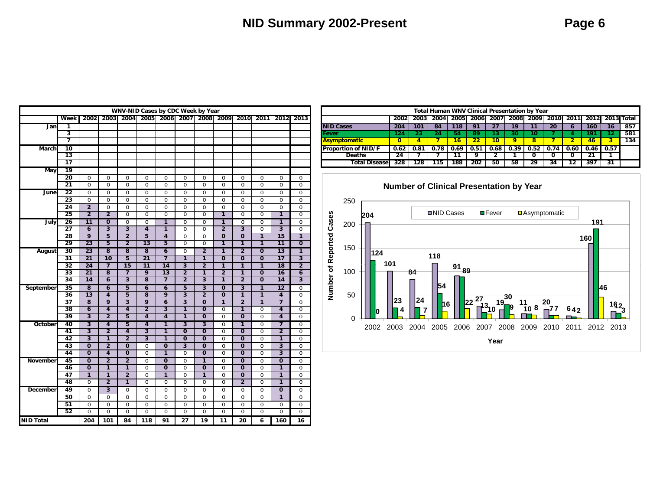|              |                      |                                  |                                  |                               |                                  |                                  |                                  | WNV-NID Cases by CDC Week by Year  |                                  |                                             |                           |                                  |                                  |
|--------------|----------------------|----------------------------------|----------------------------------|-------------------------------|----------------------------------|----------------------------------|----------------------------------|------------------------------------|----------------------------------|---------------------------------------------|---------------------------|----------------------------------|----------------------------------|
|              | Week                 | 2002                             |                                  |                               |                                  |                                  |                                  | 2003 2004 2005 2006 2007 2008 2009 |                                  | 2010                                        | 2011                      | 2012                             | 2013                             |
| Jan          | 1                    |                                  |                                  |                               |                                  |                                  |                                  |                                    |                                  |                                             |                           |                                  |                                  |
|              | 3                    |                                  |                                  |                               |                                  |                                  |                                  |                                    |                                  |                                             |                           |                                  |                                  |
|              | 7                    |                                  |                                  |                               |                                  |                                  |                                  |                                    |                                  |                                             |                           |                                  |                                  |
| <b>March</b> | 10                   |                                  |                                  |                               |                                  |                                  |                                  |                                    |                                  |                                             |                           |                                  |                                  |
|              | 13                   |                                  |                                  |                               |                                  |                                  |                                  |                                    |                                  |                                             |                           |                                  |                                  |
|              | 17                   |                                  |                                  |                               |                                  |                                  |                                  |                                    |                                  |                                             |                           |                                  |                                  |
| May          | 19                   |                                  |                                  |                               |                                  |                                  |                                  |                                    |                                  |                                             |                           |                                  |                                  |
|              | 20                   | 0                                | 0                                | $\mathbf 0$                   | 0                                | $\overline{0}$                   | 0                                | $\overline{0}$                     | $\overline{0}$                   | $\mathbf 0$                                 | $\overline{0}$            | $\overline{0}$                   | 0                                |
|              | 21                   | $\overline{0}$                   | 0                                | $\overline{0}$                | $\overline{0}$                   | $\overline{0}$                   | $\overline{0}$                   | $\overline{0}$                     | $\overline{0}$                   | $\overline{0}$                              | $\overline{0}$            | $\overline{0}$                   | $\overline{0}$                   |
| June         | 22                   | $\overline{0}$                   | 0                                | $\overline{0}$                | $\overline{0}$                   | 0                                | $\overline{0}$                   | 0                                  | 0                                | 0                                           | $\overline{0}$            | $\overline{0}$                   | $\overline{0}$                   |
|              | 23                   | $\overline{0}$                   | 0                                | $\overline{0}$                | $\overline{0}$                   | $\overline{0}$                   | $\overline{0}$                   | $\overline{0}$                     | $\overline{0}$                   | $\overline{0}$                              | $\overline{0}$            | $\overline{0}$                   | $\overline{0}$                   |
|              | 24                   | $\overline{2}$                   | $\overline{0}$                   | 0                             | $\mathbf 0$                      | 0                                | $\overline{0}$                   | $\mathbf 0$                        | 0                                | $\overline{0}$                              | 0                         | $\mathbf 0$                      | $\mathbf 0$                      |
|              | 25                   | $\overline{2}$                   | $\overline{2}$                   | $\overline{0}$                | $\overline{0}$                   | 0                                | $\overline{0}$                   | $\overline{0}$                     | 1                                | 0                                           | $\overline{0}$            | 1                                | $\overline{0}$                   |
| July         | 26                   | $\overline{11}$                  | $\overline{\mathbf{0}}$          | $\overline{0}$                | $\overline{0}$                   | 1                                | 0                                | $\overline{0}$                     | 1                                | 0                                           | 0                         | 1                                | $\overline{0}$                   |
|              | 27                   | $\overline{6}$                   | $\overline{3}$                   |                               | $\overline{4}$                   | 1                                | 0                                | $\overline{0}$                     | $\overline{2}$                   | $\overline{3}$                              | $\overline{0}$            | $\overline{3}$                   | $\overline{0}$                   |
|              | 28                   | $\overline{9}$                   | $\overline{5}$                   | $\overline{2}$                | $\overline{5}$                   | 4                                | $\overline{0}$                   | $\mathbf 0$                        | $\overline{0}$                   | $\overline{0}$                              | $\overline{1}$            | $\overline{15}$                  | $\overline{1}$                   |
|              | 29                   | 23                               | 5                                | $\overline{\mathbf{2}}$       | $\overline{13}$                  | 5                                | 0                                | 0                                  | 1                                | 1                                           | 1                         | $\overline{11}$                  | $\overline{\mathbf{0}}$          |
| August       | 30                   | 23                               | $\overline{\mathbf{8}}$          | $\overline{\mathbf{8}}$       | $\overline{\bf 8}$               | $\overline{\mathbf{6}}$          | 0                                | $\overline{2}$                     | ī                                | $\overline{2}$                              | $\overline{\mathfrak{o}}$ | 13                               | 1                                |
|              | 31                   | 21                               | 10                               | $\overline{5}$                | $\overline{21}$                  | 7                                | 1                                | $\overline{1}$                     | $\overline{\mathbf{0}}$          | $\overline{\mathbf{0}}$                     | $\overline{0}$            | $\overline{17}$                  | $\overline{\mathbf{3}}$          |
|              | 32                   | 24                               | $\overline{7}$                   | 15                            | $\overline{11}$                  | $\overline{14}$                  | 3                                | $\overline{2}$                     | $\overline{1}$                   | 1                                           | $\mathbf{1}$              | 18                               | $\overline{2}$                   |
|              | 33                   | $\overline{21}$                  | $\overline{\mathbf{8}}$          | $\overline{7}$                | 9                                | $\overline{13}$                  | $\overline{2}$                   | 1                                  | $\overline{2}$                   | 1                                           | $\overline{\mathbf{0}}$   | $\overline{16}$                  | 6                                |
|              | 34                   | 14                               | $\overline{6}$                   | 3                             | $\overline{\mathbf{8}}$          | 7                                | $\overline{2}$                   | $\overline{3}$                     | 1                                | $\overline{2}$                              | Ō                         | 14                               | $\overline{\mathbf{3}}$          |
| September    | 35                   | 8                                | 6                                | 5                             | 6                                | 6                                | 5                                | $\overline{\mathbf{3}}$            | $\overline{\mathbf{0}}$          | $\overline{\mathbf{3}}$                     | $\overline{1}$            | $\overline{12}$                  | 0                                |
|              | 36                   | $\overline{13}$                  | 4                                | 5                             | 8                                | 9                                | $\overline{\mathbf{3}}$          | $\overline{2}$                     | $\overline{0}$                   | 1                                           | $\overline{1}$            | $\overline{4}$                   | $\mathbf 0$                      |
|              | $\overline{37}$      | 8                                | 9                                | 3                             | 9                                | 6                                | 3                                | $\mathbf 0$                        | 1                                | $\overline{2}$                              | $\overline{1}$            | $\overline{7}$                   | $\mathbf 0$                      |
|              | 38                   | $\overline{6}$                   | 4                                | 4                             | $\overline{2}$                   | 3                                | 1                                | $\overline{0}$                     | $\overline{0}$                   | 1                                           | $\overline{0}$            | 4                                | $\overline{0}$                   |
|              | 39                   | $\overline{3}$                   | $\overline{2}$                   | 5                             | $\overline{4}$                   | 4                                | $\overline{1}$                   | $\overline{0}$                     | $\overline{0}$                   | $\overline{0}$                              | $\overline{0}$            | 4                                | $\overline{0}$                   |
| October      | 40                   | $\overline{\mathbf{3}}$          | 4                                | 5                             | 4                                | 1                                | 3                                | $\overline{\mathbf{3}}$            | 0                                | 1                                           | 0                         | 7                                | 0                                |
|              | 41                   | $\overline{\mathbf{3}}$          | $\overline{2}$                   | 4                             | $\overline{3}$                   | 1                                | $\mathbf 0$                      | $\overline{0}$                     | $\mathbf 0$                      | $\overline{0}$                              | $\pmb{0}$                 | $\overline{2}$                   | $\mathbf 0$                      |
|              | 42                   | $\overline{\mathbf{3}}$          | 1                                | $\overline{2}$                | $\overline{\overline{3}}$        | 1                                | 0                                | $\overline{0}$                     | $\overline{0}$                   | $\overline{\mathbf{0}}$                     | $\overline{0}$            | $\overline{1}$                   | $\overline{0}$                   |
|              | 43<br>44             | $\overline{0}$<br>$\overline{0}$ | $\overline{2}$<br>4              | $\overline{0}$<br>$\mathbf 0$ | $\overline{0}$<br>$\overline{0}$ | $\overline{0}$<br>1              | $\overline{\mathbf{3}}$          | $\overline{0}$<br>$\mathbf 0$      | $\overline{0}$<br>$\overline{0}$ | $\overline{0}$<br>$\overline{\mathbf{0}}$   | 0<br>$\overline{0}$       | $\overline{3}$<br>$\overline{3}$ | $\overline{0}$<br>$\overline{0}$ |
|              |                      |                                  |                                  |                               |                                  |                                  | 0                                |                                    |                                  |                                             |                           |                                  |                                  |
| November     | 45<br>46             | $\overline{0}$<br>$\overline{0}$ | $\overline{2}$<br>$\overline{1}$ | $\overline{2}$<br>1           | $\mathbf 0$<br>$\overline{0}$    | $\overline{0}$<br>$\overline{0}$ | $\overline{0}$<br>$\overline{0}$ | $\overline{1}$<br>$\overline{0}$   | $\overline{0}$<br>$\overline{0}$ | $\overline{0}$<br>$\overline{\mathfrak{o}}$ | 0<br>$\overline{0}$       | $\overline{0}$<br>$\overline{1}$ | $\overline{0}$<br>$\overline{0}$ |
|              | 47                   | $\overline{1}$                   | 1                                | $\overline{2}$                | 0                                | 1                                | $\overline{0}$                   | $\overline{1}$                     | $\overline{0}$                   | $\overline{0}$                              | $\overline{0}$            | $\overline{1}$                   | $\overline{0}$                   |
| 48           |                      | $\overline{0}$                   | $\overline{2}$                   | 1                             | $\overline{0}$                   | $\overline{0}$                   | $\overline{0}$                   | $\overline{0}$                     | $\overline{0}$                   | $\overline{2}$                              | 0                         | $\overline{1}$                   | $\overline{0}$                   |
|              |                      | $\overline{0}$                   | $\overline{\mathbf{3}}$          | $\overline{0}$                | $\overline{0}$                   | $\overline{0}$                   |                                  | $\overline{0}$                     | $\overline{0}$                   | 0                                           | $\overline{0}$            | $\overline{0}$                   | $\overline{0}$                   |
|              | 49<br>December<br>50 |                                  | 0                                | $\Omega$                      | $\mathbf 0$                      | 0                                | $\overline{0}$<br>$\overline{0}$ | $\overline{0}$                     | $\overline{0}$                   | 0                                           | $\overline{0}$            | $\overline{1}$                   | $\overline{0}$                   |
|              | 51                   | $\overline{0}$<br>$\overline{0}$ | $\overline{0}$                   | 0                             | 0                                | $\overline{0}$                   | $\overline{0}$                   | $\overline{0}$                     | $\overline{0}$                   | 0                                           | $\overline{0}$            | 0                                | 0                                |
|              | 52                   | $\overline{0}$                   | $\overline{0}$                   | $\overline{0}$                | $\overline{0}$                   | $\overline{0}$                   | $\overline{0}$                   | $\overline{0}$                     | 0                                | 0                                           | $\overline{0}$            | $\overline{0}$                   | $\overline{0}$                   |
| NID Total    |                      | 204                              | 101                              | 84                            | 118                              | 91                               | 27                               | 19                                 | 11                               | 20                                          | 6                         | 160                              | 16                               |

|    |  |  | WNV-NID Cases by CDC Week by Year |  |  |                                                                               |                            |     |     |     |     | Total Human WNV Clinical Presentation by Year |        |     |    |    |                                                                                           |     |    |     |
|----|--|--|-----------------------------------|--|--|-------------------------------------------------------------------------------|----------------------------|-----|-----|-----|-----|-----------------------------------------------|--------|-----|----|----|-------------------------------------------------------------------------------------------|-----|----|-----|
|    |  |  |                                   |  |  | Week   2002  2003  2004  2005  2006  2007  2008  2009  2010  2011  2012  2013 |                            |     |     |     |     |                                               |        |     |    |    | 2002   2003   2004   2005   2006   2007   2008   2009   2010   2011   2012   2013   Total |     |    |     |
|    |  |  |                                   |  |  |                                                                               | <b>NID Cases</b>           | 204 | 101 |     | 118 |                                               |        |     |    | 20 |                                                                                           | 160 | 16 | 857 |
|    |  |  |                                   |  |  |                                                                               | Fever                      |     |     |     |     |                                               |        | 30. |    |    |                                                                                           |     |    | 581 |
|    |  |  |                                   |  |  |                                                                               | <b>Asymptomatic</b>        |     |     |     | 16. |                                               | $10-1$ |     |    |    |                                                                                           |     |    | 134 |
| 10 |  |  |                                   |  |  |                                                                               | <b>Proportion of NID/F</b> |     |     |     |     |                                               |        |     |    |    | 0.62   0.81   0.78   0.69   0.51   0.68   0.39   0.52   0.74   0.60   0.46   0.57         |     |    |     |
|    |  |  |                                   |  |  |                                                                               | Deaths                     |     |     |     |     |                                               |        |     |    |    |                                                                                           |     |    |     |
| 17 |  |  |                                   |  |  |                                                                               | <b>Total Disease</b>       | 328 | 128 | 115 | 188 | 202                                           | 50     | 58  | 29 |    |                                                                                           | 397 |    |     |

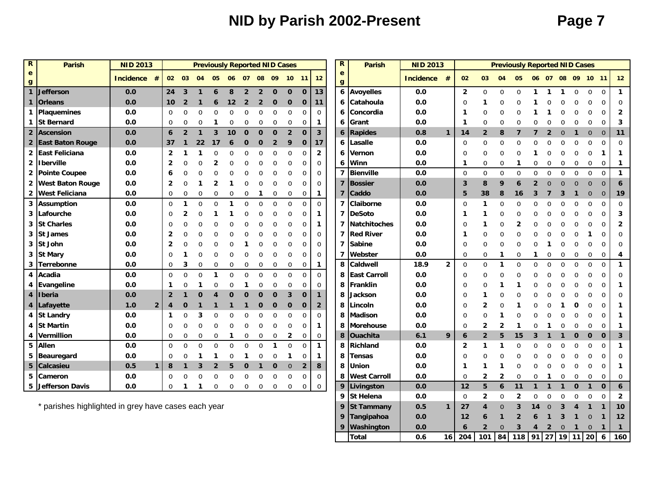# **NID by Parish 2002-Present Page 7**

| e<br>e<br>12<br><b>Incidence</b><br>02 03<br>04<br>05<br>06 07 08 09<br>10<br><b>Incidence</b><br>02<br>03<br>04<br>05<br>06 07 08 09 10 11<br>#<br>$-11$<br>$\mathbf{g}$<br>g<br>$\mathbf{1}$<br>13<br>6<br><b>Avoyelles</b><br><b>Jefferson</b><br>0.0<br>24<br>$\mathbf 0$<br>0.0<br>$\overline{2}$<br>$\overline{0}$<br>$\mathbf 0$<br>3<br>8<br>$\overline{2}$<br>$\overline{2}$<br>$\mathbf 0$<br>$\mathbf{O}$<br>$\Omega$<br>$\mathbf 0$<br>$\Omega$<br>$\mathbf 0$<br>6<br>1<br>1<br>1<br>0.0<br>0.0<br>1 Orleans<br>Catahoula<br>$\mathbf 0$<br>10<br>$\overline{2}$<br>$\mathbf 0$<br>11<br>6<br>0<br>12<br>$\overline{2}$<br>$\overline{2}$<br>$\mathbf 0$<br>$\mathbf 0$<br>1<br>6<br>1 Plaquemines<br>0.0<br>0.0<br>Concordia<br>$\Omega$<br>0<br>$\Omega$<br>$\Omega$<br>$\Omega$<br>$\Omega$<br>0<br>$\mathbf 0$<br>$\mathbf 0$<br>0<br>0<br>0<br>6<br>1 St Bernard<br>0.0<br>Grant<br>0.0<br>0<br>0<br>$\Omega$<br>0<br>0<br>0<br>0<br>$\Omega$<br>$\Omega$<br>$\Omega$<br>$\Omega$<br>O<br>0<br>1<br>6<br>1<br>$\overline{3}$<br>2 Ascension<br>0.0<br>$\overline{2}$<br>$\mathbf 0$<br>$\overline{2}$<br>$\mathbf 0$<br><b>Rapides</b><br>0.8<br>6<br>3<br>10<br>$\mathbf 0$<br>$\mathbf{0}$<br>14<br>$\overline{2}$<br>8<br>6<br>$\overline{2}$<br>$\mathbf{0}$<br>$\mathbf 0$<br>$\mathbf{1}$<br>$\overline{0}$<br>1<br>2 East Baton Rouge<br>0.0<br>Lasalle<br>0.0<br>17<br>$\mathbf 0$<br>$\mathbf 0$<br>$\mathbf 0$<br>37<br>$\overline{2}$<br>9<br>6<br>$\Omega$<br>22<br>$\mathbf 0$<br>0<br>0<br>$\Omega$<br>0<br>O<br>17<br>6<br>2 East Feliciana<br>$\overline{2}$<br>0.0<br>$\Omega$<br>0.0<br>$\mathbf{2}$<br>$\Omega$<br>$\Omega$<br>Vernon<br>$\Omega$<br>6<br>$\Omega$<br>0<br>0<br>$\Omega$<br>U<br>0<br>O<br>2   Iberville<br>0.0<br>$\mathbf 0$<br>Winn<br>0.0<br>2<br>∩<br>U<br>$\Omega$<br>6<br>0<br>0<br>0<br>0<br>0<br>0<br>1<br>0<br>$\Omega$<br>7<br><b>Bienville</b><br>2 Pointe Coupee<br>0.0<br>0<br>0.0<br>$\mathbf 0$<br>$\mathbf{0}$<br>$\mathbf 0$<br>$\Omega$<br>$\mathbf 0$<br>$\Omega$<br>$\mathbf 0$<br>$\mathbf 0$<br>0<br>$\mathbf 0$<br>0<br>$\Omega$<br>6<br>0.0<br>$\overline{7}$<br>Bossier<br>2 West Baton Rouge<br>0.0<br>3<br>8<br>$\overline{2}$<br>$\Omega$<br>0<br>$\mathbf 0$<br>9<br>$\overline{2}$<br>$\overline{0}$<br>$\Omega$<br>$\mathbf{0}$<br>0<br>$\Omega$<br>$\Omega$<br>0<br>$\Omega$<br>6<br>2 West Feliciana<br>0.0<br>Caddo<br>0.0<br>0<br>0<br>0<br>0<br>0<br>0<br>0<br>0<br>5<br>38<br>8<br>0<br>$\mathbf 1$<br>7<br>16<br>З<br>3<br>$\Omega$<br>$\Omega$<br>1<br>3<br>0<br>7<br>Claiborne<br>0.0<br><b>Assumption</b><br>0.0<br>$\Omega$<br>$\mathbf 0$<br>0<br>0<br>$\Omega$<br>0<br>$\Omega$<br>0<br>$\Omega$<br>0<br>1<br>$\Omega$<br>0<br>0<br>-1<br>U<br>$\overline{7}$<br><b>DeSoto</b><br>0.0<br>Lafourche<br>0.0<br>3<br>0<br>$\Omega$<br>0<br>0<br>0<br>2<br>1<br>1<br>1<br><b>St Charles</b><br>0.0<br>Natchitoches<br>0.0<br>3<br>0<br>0<br>$\mathbf 0$<br>7<br>$\Omega$<br>0<br>0<br>0<br>$\mathbf{1}$<br>1<br>2<br><b>Red River</b><br>0.0<br>3<br><b>St James</b><br>0.0<br>$\overline{2}$<br>$\Omega$<br>0<br>$\Omega$<br>$\mathbf 0$<br>7<br>0<br>0<br>ი<br>∩<br>1<br>3 St John<br><b>Sabine</b><br>0.0<br>0.0<br>$\overline{2}$<br>0<br>$\Omega$<br>0<br>7<br>0<br>0<br>$\Omega$<br>$\Omega$<br>$\Omega$<br>$\Omega$<br>3 St Mary<br>0.0<br>$\Omega$<br>0<br>$\mathbf 0$<br>Webster<br>0.0<br>0<br>$\Omega$<br>$\mathbf 0$<br>7<br>0<br>1<br>0<br>0<br>0<br>0<br>0<br>C<br>$\Omega$<br>0<br>Caldwell<br>18.9<br>$\overline{2}$<br>$\mathbf 0$<br>3 Terrebonne<br>0.0<br>8<br>$\Omega$<br>1<br>$\Omega$<br>$\Omega$<br>$\Omega$<br>$\Omega$<br>$\Omega$<br>$\Omega$<br>$\Omega$<br>0<br>3<br>0<br>$\mathbf 0$<br>0<br>0<br>$\mathbf 0$<br>0<br>0<br>0<br>1.<br>Acadia<br>0.0<br>$\Omega$<br>$\Omega$<br>$\Omega$<br>$\Omega$<br>$\Omega$<br>$\Omega$<br><b>East Carroll</b><br>0.0<br>4<br>$\Omega$<br>$\cap$<br>$\Omega$<br>$\Omega$<br>8<br>$\Omega$<br>0<br>0<br>O<br>U<br>U<br>Evangeline<br>Franklin<br>0.0<br>0.0<br>0<br>$\Omega$<br>0<br>8<br>$\Omega$<br>$\Omega$<br>$\Omega$<br>4<br>1<br>$\overline{\mathbf{4}}$<br><i>Iberia</i><br>0.0<br>$\overline{3}$<br>0.0<br>$\overline{2}$<br>8<br>$\Omega$<br>$\mathbf 0$<br>$\mathbf 0$<br>$\mathbf{1}$<br>Jackson<br>$\Omega$<br>0<br>O<br>$\Omega$<br>$\bf{0}$<br>1<br>Δ<br>0.0<br>4   Lafayette<br>1.0<br>$\overline{2}$<br>$\mathbf{0}$<br>$\mathbf 0$<br>$\mathbf 0$<br>$\overline{2}$<br>8<br>Lincoln<br>$\Omega$<br>2<br>4<br>$\mathbf 0$<br>0<br>$\mathbf{O}$<br><b>St Landry</b><br>$\Omega$<br><b>Madison</b><br>0.0<br>4<br>0.0<br>O<br>$\Omega$<br>8<br>O<br>O<br>$\Omega$<br>$\Omega$<br>1<br><b>St Martin</b><br>0.0<br>$\mathbf 0$<br>8<br><b>Morehouse</b><br>0.0<br>$\Omega$<br>$\Omega$<br>$\Omega$<br>$\Omega$<br>$\Omega$<br>$\overline{2}$<br>2<br>4<br>0<br>0<br>$\Omega$<br>1<br>0<br>4 Vermillion<br>Ouachita<br>6.1<br>9<br>0.0<br>8<br>$\overline{2}$<br>0<br>0<br>0<br>0<br>$\mathbf{2}$<br>6<br>5<br>15<br>$\mathbf 0$<br>$\mathbf 0$<br>0<br>0<br>0<br>0<br>0<br>3<br>0<br>5<br>Allen<br>0.0<br>$\Omega$<br>$\Omega$<br>$\Omega$<br>$\Omega$<br>$\Omega$<br>$\Omega$<br>$\Omega$<br>$\Omega$<br>$\Omega$<br>8<br><b>Richland</b><br>0.0<br>1<br>$\overline{2}$<br>0<br>$\Omega$<br>1<br>1<br>$\Omega$<br>0<br>0.0<br>Beauregard<br>0.0<br>$\Omega$<br>8<br><b>Tensas</b><br>$\Omega$<br>5<br>0<br>$\Omega$<br>$\Omega$<br>U<br>U<br>1<br>1<br>O<br>0<br>5<br>0.5<br>8<br>Union<br>0.0<br><b>Calcasieu</b><br>$\mathbf{1}$<br>8<br>$\mathbf{0}$<br>$\overline{2}$<br>8<br>$\mathbf{1}$<br>3<br>$\mathbf{2}$<br>5<br>$\mathbf 0$<br>$\mathbf 0$<br>$\mathbf 1$<br>1<br>0<br>1<br>1<br><b>West Carroll</b><br>5<br>0.0<br>$\mathbf 0$<br>0.0<br>$\overline{2}$<br>$\overline{2}$<br>Cameron<br>0<br>$\Omega$<br>$\Omega$<br>0<br>0<br>8<br>0<br>0<br>∩<br>O<br>$\Omega$<br>$\Omega$<br>O<br>$\Omega$<br>$\Omega$<br>$\Omega$<br>0 | R | <b>Parish</b> | <b>NID 2013</b> |  | <b>Previously Reported NID Cases</b> |  |          |          |             |          |             |             | $\mathbf R$ | <b>Parish</b> | <b>NID 2013</b> |    |   | <b>Previously Reported NID Cases</b> |  |              |              |              |
|----------------------------------------------------------------------------------------------------------------------------------------------------------------------------------------------------------------------------------------------------------------------------------------------------------------------------------------------------------------------------------------------------------------------------------------------------------------------------------------------------------------------------------------------------------------------------------------------------------------------------------------------------------------------------------------------------------------------------------------------------------------------------------------------------------------------------------------------------------------------------------------------------------------------------------------------------------------------------------------------------------------------------------------------------------------------------------------------------------------------------------------------------------------------------------------------------------------------------------------------------------------------------------------------------------------------------------------------------------------------------------------------------------------------------------------------------------------------------------------------------------------------------------------------------------------------------------------------------------------------------------------------------------------------------------------------------------------------------------------------------------------------------------------------------------------------------------------------------------------------------------------------------------------------------------------------------------------------------------------------------------------------------------------------------------------------------------------------------------------------------------------------------------------------------------------------------------------------------------------------------------------------------------------------------------------------------------------------------------------------------------------------------------------------------------------------------------------------------------------------------------------------------------------------------------------------------------------------------------------------------------------------------------------------------------------------------------------------------------------------------------------------------------------------------------------------------------------------------------------------------------------------------------------------------------------------------------------------------------------------------------------------------------------------------------------------------------------------------------------------------------------------------------------------------------------------------------------------------------------------------------------------------------------------------------------------------------------------------------------------------------------------------------------------------------------------------------------------------------------------------------------------------------------------------------------------------------------------------------------------------------------------------------------------------------------------------------------------------------------------------------------------------------------------------------------------------------------------------------------------------------------------------------------------------------------------------------------------------------------------------------------------------------------------------------------------------------------------------------------------------------------------------------------------------------------------------------------------------------------------------------------------------------------------------------------------------------------------------------------------------------------------------------------------------------------------------------------------------------------------------------------------------------------------------------------------------------------------------------------------------------------------------------------------------------------------------------------------------------------------------------------------------------------------------------------------------------------------------------------------------------------------------------------------------------------------------------------------------------------------------------------------------------------------------------------------------------------------------------------------------------------------------------------------------------------------------------------------------------------------------------------------------------------------------------------------------------------------------------------------------------------------------------------------------------------------------------------------------------------------------------------------------------------------------------------------------------------------------------------------------------------------------------------------------------------------------------------------------------------------------------------------------------------------------------------------------------------------------------------------------------------------------------------------|---|---------------|-----------------|--|--------------------------------------|--|----------|----------|-------------|----------|-------------|-------------|-------------|---------------|-----------------|----|---|--------------------------------------|--|--------------|--------------|--------------|
|                                                                                                                                                                                                                                                                                                                                                                                                                                                                                                                                                                                                                                                                                                                                                                                                                                                                                                                                                                                                                                                                                                                                                                                                                                                                                                                                                                                                                                                                                                                                                                                                                                                                                                                                                                                                                                                                                                                                                                                                                                                                                                                                                                                                                                                                                                                                                                                                                                                                                                                                                                                                                                                                                                                                                                                                                                                                                                                                                                                                                                                                                                                                                                                                                                                                                                                                                                                                                                                                                                                                                                                                                                                                                                                                                                                                                                                                                                                                                                                                                                                                                                                                                                                                                                                                                                                                                                                                                                                                                                                                                                                                                                                                                                                                                                                                                                                                                                                                                                                                                                                                                                                                                                                                                                                                                                                                                                                                                                                                                                                                                                                                                                                                                                                                                                                                                                                                                                                      |   |               |                 |  |                                      |  |          |          |             |          |             |             |             |               |                 |    |   |                                      |  |              |              | 12           |
|                                                                                                                                                                                                                                                                                                                                                                                                                                                                                                                                                                                                                                                                                                                                                                                                                                                                                                                                                                                                                                                                                                                                                                                                                                                                                                                                                                                                                                                                                                                                                                                                                                                                                                                                                                                                                                                                                                                                                                                                                                                                                                                                                                                                                                                                                                                                                                                                                                                                                                                                                                                                                                                                                                                                                                                                                                                                                                                                                                                                                                                                                                                                                                                                                                                                                                                                                                                                                                                                                                                                                                                                                                                                                                                                                                                                                                                                                                                                                                                                                                                                                                                                                                                                                                                                                                                                                                                                                                                                                                                                                                                                                                                                                                                                                                                                                                                                                                                                                                                                                                                                                                                                                                                                                                                                                                                                                                                                                                                                                                                                                                                                                                                                                                                                                                                                                                                                                                                      |   |               |                 |  |                                      |  |          |          |             |          |             |             |             |               |                 |    |   |                                      |  |              |              | $\mathbf{1}$ |
|                                                                                                                                                                                                                                                                                                                                                                                                                                                                                                                                                                                                                                                                                                                                                                                                                                                                                                                                                                                                                                                                                                                                                                                                                                                                                                                                                                                                                                                                                                                                                                                                                                                                                                                                                                                                                                                                                                                                                                                                                                                                                                                                                                                                                                                                                                                                                                                                                                                                                                                                                                                                                                                                                                                                                                                                                                                                                                                                                                                                                                                                                                                                                                                                                                                                                                                                                                                                                                                                                                                                                                                                                                                                                                                                                                                                                                                                                                                                                                                                                                                                                                                                                                                                                                                                                                                                                                                                                                                                                                                                                                                                                                                                                                                                                                                                                                                                                                                                                                                                                                                                                                                                                                                                                                                                                                                                                                                                                                                                                                                                                                                                                                                                                                                                                                                                                                                                                                                      |   |               |                 |  |                                      |  |          |          |             |          |             |             |             |               |                 |    |   |                                      |  |              |              |              |
|                                                                                                                                                                                                                                                                                                                                                                                                                                                                                                                                                                                                                                                                                                                                                                                                                                                                                                                                                                                                                                                                                                                                                                                                                                                                                                                                                                                                                                                                                                                                                                                                                                                                                                                                                                                                                                                                                                                                                                                                                                                                                                                                                                                                                                                                                                                                                                                                                                                                                                                                                                                                                                                                                                                                                                                                                                                                                                                                                                                                                                                                                                                                                                                                                                                                                                                                                                                                                                                                                                                                                                                                                                                                                                                                                                                                                                                                                                                                                                                                                                                                                                                                                                                                                                                                                                                                                                                                                                                                                                                                                                                                                                                                                                                                                                                                                                                                                                                                                                                                                                                                                                                                                                                                                                                                                                                                                                                                                                                                                                                                                                                                                                                                                                                                                                                                                                                                                                                      |   |               |                 |  |                                      |  |          |          |             |          |             |             |             |               |                 |    |   |                                      |  |              |              |              |
|                                                                                                                                                                                                                                                                                                                                                                                                                                                                                                                                                                                                                                                                                                                                                                                                                                                                                                                                                                                                                                                                                                                                                                                                                                                                                                                                                                                                                                                                                                                                                                                                                                                                                                                                                                                                                                                                                                                                                                                                                                                                                                                                                                                                                                                                                                                                                                                                                                                                                                                                                                                                                                                                                                                                                                                                                                                                                                                                                                                                                                                                                                                                                                                                                                                                                                                                                                                                                                                                                                                                                                                                                                                                                                                                                                                                                                                                                                                                                                                                                                                                                                                                                                                                                                                                                                                                                                                                                                                                                                                                                                                                                                                                                                                                                                                                                                                                                                                                                                                                                                                                                                                                                                                                                                                                                                                                                                                                                                                                                                                                                                                                                                                                                                                                                                                                                                                                                                                      |   |               |                 |  |                                      |  |          |          |             |          |             |             |             |               |                 |    |   |                                      |  |              |              | 3            |
|                                                                                                                                                                                                                                                                                                                                                                                                                                                                                                                                                                                                                                                                                                                                                                                                                                                                                                                                                                                                                                                                                                                                                                                                                                                                                                                                                                                                                                                                                                                                                                                                                                                                                                                                                                                                                                                                                                                                                                                                                                                                                                                                                                                                                                                                                                                                                                                                                                                                                                                                                                                                                                                                                                                                                                                                                                                                                                                                                                                                                                                                                                                                                                                                                                                                                                                                                                                                                                                                                                                                                                                                                                                                                                                                                                                                                                                                                                                                                                                                                                                                                                                                                                                                                                                                                                                                                                                                                                                                                                                                                                                                                                                                                                                                                                                                                                                                                                                                                                                                                                                                                                                                                                                                                                                                                                                                                                                                                                                                                                                                                                                                                                                                                                                                                                                                                                                                                                                      |   |               |                 |  |                                      |  |          |          |             |          |             |             |             |               |                 |    |   |                                      |  |              |              | 11           |
|                                                                                                                                                                                                                                                                                                                                                                                                                                                                                                                                                                                                                                                                                                                                                                                                                                                                                                                                                                                                                                                                                                                                                                                                                                                                                                                                                                                                                                                                                                                                                                                                                                                                                                                                                                                                                                                                                                                                                                                                                                                                                                                                                                                                                                                                                                                                                                                                                                                                                                                                                                                                                                                                                                                                                                                                                                                                                                                                                                                                                                                                                                                                                                                                                                                                                                                                                                                                                                                                                                                                                                                                                                                                                                                                                                                                                                                                                                                                                                                                                                                                                                                                                                                                                                                                                                                                                                                                                                                                                                                                                                                                                                                                                                                                                                                                                                                                                                                                                                                                                                                                                                                                                                                                                                                                                                                                                                                                                                                                                                                                                                                                                                                                                                                                                                                                                                                                                                                      |   |               |                 |  |                                      |  |          |          |             |          |             |             |             |               |                 |    |   |                                      |  |              |              | $\Omega$     |
|                                                                                                                                                                                                                                                                                                                                                                                                                                                                                                                                                                                                                                                                                                                                                                                                                                                                                                                                                                                                                                                                                                                                                                                                                                                                                                                                                                                                                                                                                                                                                                                                                                                                                                                                                                                                                                                                                                                                                                                                                                                                                                                                                                                                                                                                                                                                                                                                                                                                                                                                                                                                                                                                                                                                                                                                                                                                                                                                                                                                                                                                                                                                                                                                                                                                                                                                                                                                                                                                                                                                                                                                                                                                                                                                                                                                                                                                                                                                                                                                                                                                                                                                                                                                                                                                                                                                                                                                                                                                                                                                                                                                                                                                                                                                                                                                                                                                                                                                                                                                                                                                                                                                                                                                                                                                                                                                                                                                                                                                                                                                                                                                                                                                                                                                                                                                                                                                                                                      |   |               |                 |  |                                      |  |          |          |             |          |             |             |             |               |                 |    |   |                                      |  |              |              |              |
|                                                                                                                                                                                                                                                                                                                                                                                                                                                                                                                                                                                                                                                                                                                                                                                                                                                                                                                                                                                                                                                                                                                                                                                                                                                                                                                                                                                                                                                                                                                                                                                                                                                                                                                                                                                                                                                                                                                                                                                                                                                                                                                                                                                                                                                                                                                                                                                                                                                                                                                                                                                                                                                                                                                                                                                                                                                                                                                                                                                                                                                                                                                                                                                                                                                                                                                                                                                                                                                                                                                                                                                                                                                                                                                                                                                                                                                                                                                                                                                                                                                                                                                                                                                                                                                                                                                                                                                                                                                                                                                                                                                                                                                                                                                                                                                                                                                                                                                                                                                                                                                                                                                                                                                                                                                                                                                                                                                                                                                                                                                                                                                                                                                                                                                                                                                                                                                                                                                      |   |               |                 |  |                                      |  |          |          |             |          |             |             |             |               |                 |    |   |                                      |  |              |              | 1            |
|                                                                                                                                                                                                                                                                                                                                                                                                                                                                                                                                                                                                                                                                                                                                                                                                                                                                                                                                                                                                                                                                                                                                                                                                                                                                                                                                                                                                                                                                                                                                                                                                                                                                                                                                                                                                                                                                                                                                                                                                                                                                                                                                                                                                                                                                                                                                                                                                                                                                                                                                                                                                                                                                                                                                                                                                                                                                                                                                                                                                                                                                                                                                                                                                                                                                                                                                                                                                                                                                                                                                                                                                                                                                                                                                                                                                                                                                                                                                                                                                                                                                                                                                                                                                                                                                                                                                                                                                                                                                                                                                                                                                                                                                                                                                                                                                                                                                                                                                                                                                                                                                                                                                                                                                                                                                                                                                                                                                                                                                                                                                                                                                                                                                                                                                                                                                                                                                                                                      |   |               |                 |  |                                      |  |          |          |             |          |             |             |             |               |                 |    |   |                                      |  |              |              | $\mathbf{1}$ |
|                                                                                                                                                                                                                                                                                                                                                                                                                                                                                                                                                                                                                                                                                                                                                                                                                                                                                                                                                                                                                                                                                                                                                                                                                                                                                                                                                                                                                                                                                                                                                                                                                                                                                                                                                                                                                                                                                                                                                                                                                                                                                                                                                                                                                                                                                                                                                                                                                                                                                                                                                                                                                                                                                                                                                                                                                                                                                                                                                                                                                                                                                                                                                                                                                                                                                                                                                                                                                                                                                                                                                                                                                                                                                                                                                                                                                                                                                                                                                                                                                                                                                                                                                                                                                                                                                                                                                                                                                                                                                                                                                                                                                                                                                                                                                                                                                                                                                                                                                                                                                                                                                                                                                                                                                                                                                                                                                                                                                                                                                                                                                                                                                                                                                                                                                                                                                                                                                                                      |   |               |                 |  |                                      |  |          |          |             |          |             |             |             |               |                 |    |   |                                      |  |              |              |              |
|                                                                                                                                                                                                                                                                                                                                                                                                                                                                                                                                                                                                                                                                                                                                                                                                                                                                                                                                                                                                                                                                                                                                                                                                                                                                                                                                                                                                                                                                                                                                                                                                                                                                                                                                                                                                                                                                                                                                                                                                                                                                                                                                                                                                                                                                                                                                                                                                                                                                                                                                                                                                                                                                                                                                                                                                                                                                                                                                                                                                                                                                                                                                                                                                                                                                                                                                                                                                                                                                                                                                                                                                                                                                                                                                                                                                                                                                                                                                                                                                                                                                                                                                                                                                                                                                                                                                                                                                                                                                                                                                                                                                                                                                                                                                                                                                                                                                                                                                                                                                                                                                                                                                                                                                                                                                                                                                                                                                                                                                                                                                                                                                                                                                                                                                                                                                                                                                                                                      |   |               |                 |  |                                      |  |          |          |             |          |             |             |             |               |                 |    |   |                                      |  |              |              | 19           |
|                                                                                                                                                                                                                                                                                                                                                                                                                                                                                                                                                                                                                                                                                                                                                                                                                                                                                                                                                                                                                                                                                                                                                                                                                                                                                                                                                                                                                                                                                                                                                                                                                                                                                                                                                                                                                                                                                                                                                                                                                                                                                                                                                                                                                                                                                                                                                                                                                                                                                                                                                                                                                                                                                                                                                                                                                                                                                                                                                                                                                                                                                                                                                                                                                                                                                                                                                                                                                                                                                                                                                                                                                                                                                                                                                                                                                                                                                                                                                                                                                                                                                                                                                                                                                                                                                                                                                                                                                                                                                                                                                                                                                                                                                                                                                                                                                                                                                                                                                                                                                                                                                                                                                                                                                                                                                                                                                                                                                                                                                                                                                                                                                                                                                                                                                                                                                                                                                                                      |   |               |                 |  |                                      |  |          |          |             |          |             |             |             |               |                 |    |   |                                      |  |              |              | ∩            |
|                                                                                                                                                                                                                                                                                                                                                                                                                                                                                                                                                                                                                                                                                                                                                                                                                                                                                                                                                                                                                                                                                                                                                                                                                                                                                                                                                                                                                                                                                                                                                                                                                                                                                                                                                                                                                                                                                                                                                                                                                                                                                                                                                                                                                                                                                                                                                                                                                                                                                                                                                                                                                                                                                                                                                                                                                                                                                                                                                                                                                                                                                                                                                                                                                                                                                                                                                                                                                                                                                                                                                                                                                                                                                                                                                                                                                                                                                                                                                                                                                                                                                                                                                                                                                                                                                                                                                                                                                                                                                                                                                                                                                                                                                                                                                                                                                                                                                                                                                                                                                                                                                                                                                                                                                                                                                                                                                                                                                                                                                                                                                                                                                                                                                                                                                                                                                                                                                                                      |   |               |                 |  |                                      |  |          |          |             |          |             |             |             |               |                 |    |   |                                      |  |              |              |              |
|                                                                                                                                                                                                                                                                                                                                                                                                                                                                                                                                                                                                                                                                                                                                                                                                                                                                                                                                                                                                                                                                                                                                                                                                                                                                                                                                                                                                                                                                                                                                                                                                                                                                                                                                                                                                                                                                                                                                                                                                                                                                                                                                                                                                                                                                                                                                                                                                                                                                                                                                                                                                                                                                                                                                                                                                                                                                                                                                                                                                                                                                                                                                                                                                                                                                                                                                                                                                                                                                                                                                                                                                                                                                                                                                                                                                                                                                                                                                                                                                                                                                                                                                                                                                                                                                                                                                                                                                                                                                                                                                                                                                                                                                                                                                                                                                                                                                                                                                                                                                                                                                                                                                                                                                                                                                                                                                                                                                                                                                                                                                                                                                                                                                                                                                                                                                                                                                                                                      |   |               |                 |  |                                      |  |          |          |             |          |             |             |             |               |                 |    |   |                                      |  |              |              |              |
|                                                                                                                                                                                                                                                                                                                                                                                                                                                                                                                                                                                                                                                                                                                                                                                                                                                                                                                                                                                                                                                                                                                                                                                                                                                                                                                                                                                                                                                                                                                                                                                                                                                                                                                                                                                                                                                                                                                                                                                                                                                                                                                                                                                                                                                                                                                                                                                                                                                                                                                                                                                                                                                                                                                                                                                                                                                                                                                                                                                                                                                                                                                                                                                                                                                                                                                                                                                                                                                                                                                                                                                                                                                                                                                                                                                                                                                                                                                                                                                                                                                                                                                                                                                                                                                                                                                                                                                                                                                                                                                                                                                                                                                                                                                                                                                                                                                                                                                                                                                                                                                                                                                                                                                                                                                                                                                                                                                                                                                                                                                                                                                                                                                                                                                                                                                                                                                                                                                      |   |               |                 |  |                                      |  |          |          |             |          |             |             |             |               |                 |    |   |                                      |  |              |              |              |
|                                                                                                                                                                                                                                                                                                                                                                                                                                                                                                                                                                                                                                                                                                                                                                                                                                                                                                                                                                                                                                                                                                                                                                                                                                                                                                                                                                                                                                                                                                                                                                                                                                                                                                                                                                                                                                                                                                                                                                                                                                                                                                                                                                                                                                                                                                                                                                                                                                                                                                                                                                                                                                                                                                                                                                                                                                                                                                                                                                                                                                                                                                                                                                                                                                                                                                                                                                                                                                                                                                                                                                                                                                                                                                                                                                                                                                                                                                                                                                                                                                                                                                                                                                                                                                                                                                                                                                                                                                                                                                                                                                                                                                                                                                                                                                                                                                                                                                                                                                                                                                                                                                                                                                                                                                                                                                                                                                                                                                                                                                                                                                                                                                                                                                                                                                                                                                                                                                                      |   |               |                 |  |                                      |  |          |          |             |          |             |             |             |               |                 |    |   |                                      |  |              |              |              |
|                                                                                                                                                                                                                                                                                                                                                                                                                                                                                                                                                                                                                                                                                                                                                                                                                                                                                                                                                                                                                                                                                                                                                                                                                                                                                                                                                                                                                                                                                                                                                                                                                                                                                                                                                                                                                                                                                                                                                                                                                                                                                                                                                                                                                                                                                                                                                                                                                                                                                                                                                                                                                                                                                                                                                                                                                                                                                                                                                                                                                                                                                                                                                                                                                                                                                                                                                                                                                                                                                                                                                                                                                                                                                                                                                                                                                                                                                                                                                                                                                                                                                                                                                                                                                                                                                                                                                                                                                                                                                                                                                                                                                                                                                                                                                                                                                                                                                                                                                                                                                                                                                                                                                                                                                                                                                                                                                                                                                                                                                                                                                                                                                                                                                                                                                                                                                                                                                                                      |   |               |                 |  |                                      |  |          |          |             |          |             |             |             |               |                 |    |   |                                      |  |              |              | 4            |
|                                                                                                                                                                                                                                                                                                                                                                                                                                                                                                                                                                                                                                                                                                                                                                                                                                                                                                                                                                                                                                                                                                                                                                                                                                                                                                                                                                                                                                                                                                                                                                                                                                                                                                                                                                                                                                                                                                                                                                                                                                                                                                                                                                                                                                                                                                                                                                                                                                                                                                                                                                                                                                                                                                                                                                                                                                                                                                                                                                                                                                                                                                                                                                                                                                                                                                                                                                                                                                                                                                                                                                                                                                                                                                                                                                                                                                                                                                                                                                                                                                                                                                                                                                                                                                                                                                                                                                                                                                                                                                                                                                                                                                                                                                                                                                                                                                                                                                                                                                                                                                                                                                                                                                                                                                                                                                                                                                                                                                                                                                                                                                                                                                                                                                                                                                                                                                                                                                                      |   |               |                 |  |                                      |  |          |          |             |          |             |             |             |               |                 |    |   |                                      |  |              |              |              |
|                                                                                                                                                                                                                                                                                                                                                                                                                                                                                                                                                                                                                                                                                                                                                                                                                                                                                                                                                                                                                                                                                                                                                                                                                                                                                                                                                                                                                                                                                                                                                                                                                                                                                                                                                                                                                                                                                                                                                                                                                                                                                                                                                                                                                                                                                                                                                                                                                                                                                                                                                                                                                                                                                                                                                                                                                                                                                                                                                                                                                                                                                                                                                                                                                                                                                                                                                                                                                                                                                                                                                                                                                                                                                                                                                                                                                                                                                                                                                                                                                                                                                                                                                                                                                                                                                                                                                                                                                                                                                                                                                                                                                                                                                                                                                                                                                                                                                                                                                                                                                                                                                                                                                                                                                                                                                                                                                                                                                                                                                                                                                                                                                                                                                                                                                                                                                                                                                                                      |   |               |                 |  |                                      |  |          |          |             |          |             |             |             |               |                 |    |   |                                      |  |              |              |              |
|                                                                                                                                                                                                                                                                                                                                                                                                                                                                                                                                                                                                                                                                                                                                                                                                                                                                                                                                                                                                                                                                                                                                                                                                                                                                                                                                                                                                                                                                                                                                                                                                                                                                                                                                                                                                                                                                                                                                                                                                                                                                                                                                                                                                                                                                                                                                                                                                                                                                                                                                                                                                                                                                                                                                                                                                                                                                                                                                                                                                                                                                                                                                                                                                                                                                                                                                                                                                                                                                                                                                                                                                                                                                                                                                                                                                                                                                                                                                                                                                                                                                                                                                                                                                                                                                                                                                                                                                                                                                                                                                                                                                                                                                                                                                                                                                                                                                                                                                                                                                                                                                                                                                                                                                                                                                                                                                                                                                                                                                                                                                                                                                                                                                                                                                                                                                                                                                                                                      |   |               |                 |  |                                      |  |          |          |             |          |             |             |             |               |                 |    |   |                                      |  |              |              |              |
|                                                                                                                                                                                                                                                                                                                                                                                                                                                                                                                                                                                                                                                                                                                                                                                                                                                                                                                                                                                                                                                                                                                                                                                                                                                                                                                                                                                                                                                                                                                                                                                                                                                                                                                                                                                                                                                                                                                                                                                                                                                                                                                                                                                                                                                                                                                                                                                                                                                                                                                                                                                                                                                                                                                                                                                                                                                                                                                                                                                                                                                                                                                                                                                                                                                                                                                                                                                                                                                                                                                                                                                                                                                                                                                                                                                                                                                                                                                                                                                                                                                                                                                                                                                                                                                                                                                                                                                                                                                                                                                                                                                                                                                                                                                                                                                                                                                                                                                                                                                                                                                                                                                                                                                                                                                                                                                                                                                                                                                                                                                                                                                                                                                                                                                                                                                                                                                                                                                      |   |               |                 |  |                                      |  |          |          |             |          |             |             |             |               |                 |    |   |                                      |  |              |              |              |
|                                                                                                                                                                                                                                                                                                                                                                                                                                                                                                                                                                                                                                                                                                                                                                                                                                                                                                                                                                                                                                                                                                                                                                                                                                                                                                                                                                                                                                                                                                                                                                                                                                                                                                                                                                                                                                                                                                                                                                                                                                                                                                                                                                                                                                                                                                                                                                                                                                                                                                                                                                                                                                                                                                                                                                                                                                                                                                                                                                                                                                                                                                                                                                                                                                                                                                                                                                                                                                                                                                                                                                                                                                                                                                                                                                                                                                                                                                                                                                                                                                                                                                                                                                                                                                                                                                                                                                                                                                                                                                                                                                                                                                                                                                                                                                                                                                                                                                                                                                                                                                                                                                                                                                                                                                                                                                                                                                                                                                                                                                                                                                                                                                                                                                                                                                                                                                                                                                                      |   |               |                 |  |                                      |  |          |          |             |          |             |             |             |               |                 |    |   |                                      |  |              |              |              |
|                                                                                                                                                                                                                                                                                                                                                                                                                                                                                                                                                                                                                                                                                                                                                                                                                                                                                                                                                                                                                                                                                                                                                                                                                                                                                                                                                                                                                                                                                                                                                                                                                                                                                                                                                                                                                                                                                                                                                                                                                                                                                                                                                                                                                                                                                                                                                                                                                                                                                                                                                                                                                                                                                                                                                                                                                                                                                                                                                                                                                                                                                                                                                                                                                                                                                                                                                                                                                                                                                                                                                                                                                                                                                                                                                                                                                                                                                                                                                                                                                                                                                                                                                                                                                                                                                                                                                                                                                                                                                                                                                                                                                                                                                                                                                                                                                                                                                                                                                                                                                                                                                                                                                                                                                                                                                                                                                                                                                                                                                                                                                                                                                                                                                                                                                                                                                                                                                                                      |   |               |                 |  |                                      |  |          |          |             |          |             |             |             |               |                 |    |   |                                      |  |              |              |              |
|                                                                                                                                                                                                                                                                                                                                                                                                                                                                                                                                                                                                                                                                                                                                                                                                                                                                                                                                                                                                                                                                                                                                                                                                                                                                                                                                                                                                                                                                                                                                                                                                                                                                                                                                                                                                                                                                                                                                                                                                                                                                                                                                                                                                                                                                                                                                                                                                                                                                                                                                                                                                                                                                                                                                                                                                                                                                                                                                                                                                                                                                                                                                                                                                                                                                                                                                                                                                                                                                                                                                                                                                                                                                                                                                                                                                                                                                                                                                                                                                                                                                                                                                                                                                                                                                                                                                                                                                                                                                                                                                                                                                                                                                                                                                                                                                                                                                                                                                                                                                                                                                                                                                                                                                                                                                                                                                                                                                                                                                                                                                                                                                                                                                                                                                                                                                                                                                                                                      |   |               |                 |  |                                      |  |          |          |             |          |             |             |             |               |                 |    |   |                                      |  |              |              |              |
|                                                                                                                                                                                                                                                                                                                                                                                                                                                                                                                                                                                                                                                                                                                                                                                                                                                                                                                                                                                                                                                                                                                                                                                                                                                                                                                                                                                                                                                                                                                                                                                                                                                                                                                                                                                                                                                                                                                                                                                                                                                                                                                                                                                                                                                                                                                                                                                                                                                                                                                                                                                                                                                                                                                                                                                                                                                                                                                                                                                                                                                                                                                                                                                                                                                                                                                                                                                                                                                                                                                                                                                                                                                                                                                                                                                                                                                                                                                                                                                                                                                                                                                                                                                                                                                                                                                                                                                                                                                                                                                                                                                                                                                                                                                                                                                                                                                                                                                                                                                                                                                                                                                                                                                                                                                                                                                                                                                                                                                                                                                                                                                                                                                                                                                                                                                                                                                                                                                      |   |               |                 |  |                                      |  |          |          |             |          |             |             |             |               |                 |    |   |                                      |  |              |              |              |
|                                                                                                                                                                                                                                                                                                                                                                                                                                                                                                                                                                                                                                                                                                                                                                                                                                                                                                                                                                                                                                                                                                                                                                                                                                                                                                                                                                                                                                                                                                                                                                                                                                                                                                                                                                                                                                                                                                                                                                                                                                                                                                                                                                                                                                                                                                                                                                                                                                                                                                                                                                                                                                                                                                                                                                                                                                                                                                                                                                                                                                                                                                                                                                                                                                                                                                                                                                                                                                                                                                                                                                                                                                                                                                                                                                                                                                                                                                                                                                                                                                                                                                                                                                                                                                                                                                                                                                                                                                                                                                                                                                                                                                                                                                                                                                                                                                                                                                                                                                                                                                                                                                                                                                                                                                                                                                                                                                                                                                                                                                                                                                                                                                                                                                                                                                                                                                                                                                                      |   |               |                 |  |                                      |  |          |          |             |          |             |             |             |               |                 |    |   |                                      |  |              |              |              |
|                                                                                                                                                                                                                                                                                                                                                                                                                                                                                                                                                                                                                                                                                                                                                                                                                                                                                                                                                                                                                                                                                                                                                                                                                                                                                                                                                                                                                                                                                                                                                                                                                                                                                                                                                                                                                                                                                                                                                                                                                                                                                                                                                                                                                                                                                                                                                                                                                                                                                                                                                                                                                                                                                                                                                                                                                                                                                                                                                                                                                                                                                                                                                                                                                                                                                                                                                                                                                                                                                                                                                                                                                                                                                                                                                                                                                                                                                                                                                                                                                                                                                                                                                                                                                                                                                                                                                                                                                                                                                                                                                                                                                                                                                                                                                                                                                                                                                                                                                                                                                                                                                                                                                                                                                                                                                                                                                                                                                                                                                                                                                                                                                                                                                                                                                                                                                                                                                                                      |   |               |                 |  |                                      |  |          |          |             |          |             |             |             |               |                 |    |   |                                      |  |              |              |              |
|                                                                                                                                                                                                                                                                                                                                                                                                                                                                                                                                                                                                                                                                                                                                                                                                                                                                                                                                                                                                                                                                                                                                                                                                                                                                                                                                                                                                                                                                                                                                                                                                                                                                                                                                                                                                                                                                                                                                                                                                                                                                                                                                                                                                                                                                                                                                                                                                                                                                                                                                                                                                                                                                                                                                                                                                                                                                                                                                                                                                                                                                                                                                                                                                                                                                                                                                                                                                                                                                                                                                                                                                                                                                                                                                                                                                                                                                                                                                                                                                                                                                                                                                                                                                                                                                                                                                                                                                                                                                                                                                                                                                                                                                                                                                                                                                                                                                                                                                                                                                                                                                                                                                                                                                                                                                                                                                                                                                                                                                                                                                                                                                                                                                                                                                                                                                                                                                                                                      |   |               |                 |  |                                      |  |          |          |             |          |             |             |             |               |                 |    |   |                                      |  |              |              |              |
|                                                                                                                                                                                                                                                                                                                                                                                                                                                                                                                                                                                                                                                                                                                                                                                                                                                                                                                                                                                                                                                                                                                                                                                                                                                                                                                                                                                                                                                                                                                                                                                                                                                                                                                                                                                                                                                                                                                                                                                                                                                                                                                                                                                                                                                                                                                                                                                                                                                                                                                                                                                                                                                                                                                                                                                                                                                                                                                                                                                                                                                                                                                                                                                                                                                                                                                                                                                                                                                                                                                                                                                                                                                                                                                                                                                                                                                                                                                                                                                                                                                                                                                                                                                                                                                                                                                                                                                                                                                                                                                                                                                                                                                                                                                                                                                                                                                                                                                                                                                                                                                                                                                                                                                                                                                                                                                                                                                                                                                                                                                                                                                                                                                                                                                                                                                                                                                                                                                      |   |               |                 |  |                                      |  |          |          |             |          |             |             |             |               |                 |    |   |                                      |  |              |              | $\Omega$     |
| 9 Livingston<br>5 Jefferson Davis<br>0<br>0<br>0<br>6<br>$\mathbf{1}$<br>$\mathbf{1}$<br>$\mathbf{1}$<br>$\mathbf{1}$<br>-1                                                                                                                                                                                                                                                                                                                                                                                                                                                                                                                                                                                                                                                                                                                                                                                                                                                                                                                                                                                                                                                                                                                                                                                                                                                                                                                                                                                                                                                                                                                                                                                                                                                                                                                                                                                                                                                                                                                                                                                                                                                                                                                                                                                                                                                                                                                                                                                                                                                                                                                                                                                                                                                                                                                                                                                                                                                                                                                                                                                                                                                                                                                                                                                                                                                                                                                                                                                                                                                                                                                                                                                                                                                                                                                                                                                                                                                                                                                                                                                                                                                                                                                                                                                                                                                                                                                                                                                                                                                                                                                                                                                                                                                                                                                                                                                                                                                                                                                                                                                                                                                                                                                                                                                                                                                                                                                                                                                                                                                                                                                                                                                                                                                                                                                                                                                          |   |               | 0.0             |  |                                      |  | $\Omega$ | $\Omega$ | $\mathbf 0$ | $\Omega$ | $\mathbf 0$ | $\mathbf 0$ |             |               | 0.0             | 12 | 5 | 11                                   |  | $\mathbf{0}$ | $\mathbf{O}$ |              |

 $*$  parishes highlighted in grey have cases each year

|                          |                  | <b>Previously Reported NID Cases</b> |                |                |    |                         |                |                |                |                |                         |                            |                     |                  |                |              |                |                         |                                      |                |                |                |                |                  |                  |              |
|--------------------------|------------------|--------------------------------------|----------------|----------------|----|-------------------------|----------------|----------------|----------------|----------------|-------------------------|----------------------------|---------------------|------------------|----------------|--------------|----------------|-------------------------|--------------------------------------|----------------|----------------|----------------|----------------|------------------|------------------|--------------|
| 2013                     |                  |                                      |                |                |    |                         |                |                |                |                |                         | R                          | <b>Parish</b>       | <b>NID 2013</b>  |                |              |                |                         | <b>Previously Reported NID Cases</b> |                |                |                |                |                  |                  |              |
| #<br>ence                | 02               | 03                                   | 04             | 05             | 06 | 07                      | 08             | 09             | 10             | 11             | 12                      | $\mathbf e$<br>$\mathbf g$ |                     | <b>Incidence</b> | #              | 02           | 03             | 04                      | 05                                   |                | 06 07 08       |                | 09             | 10 11            |                  | 12           |
| 0                        | 24               | 3                                    | $\mathbf{1}$   | 6              | 8  | $\overline{\mathbf{2}}$ | $\overline{2}$ | $\mathbf 0$    | $\mathbf 0$    | $\mathbf 0$    | 13                      | 6                          | <b>Avoyelles</b>    | 0.0              |                | $\mathbf{2}$ | 0              | 0                       | $\mathbf 0$                          | 1              | 1              | 1              | $\mathbf 0$    | $\mathbf 0$      | 0                | $\mathbf{1}$ |
| 0                        | 10               | $\overline{2}$                       | 1              | 6              | 12 | $\overline{2}$          | $\overline{2}$ | $\mathbf 0$    | $\bf{0}$       | $\mathbf 0$    | 11                      | 6                          | Catahoula           | 0.0              |                | 0            | 1              | 0                       | 0                                    | 1              | 0              | 0              | 0              | 0                | 0                | $\Omega$     |
| 0                        | $\overline{0}$   | 0                                    | $\mathbf 0$    | 0              | 0  | 0                       | $\overline{0}$ | 0              | $\mathbf 0$    | 0              | $\mathbf 0$             | 6                          | Concordia           | 0.0              |                | 1            | 0              | 0                       | 0                                    | 1              | 1              | 0              | 0              | 0                | $\mathbf 0$      | 2            |
| 0                        | 0                | 0                                    | $\mathbf 0$    | 1              | 0  | 0                       | $\mathbf 0$    | $\mathbf 0$    | $\mathbf 0$    | 0              | 1                       | 6                          | Grant               | 0.0              |                | 1            | 0              | 0                       | $\mathbf 0$                          | 0              | 0              | 0              | 0              | 0                | 0                | 3            |
| O                        | $\boldsymbol{6}$ | $\overline{2}$                       | 1              | 3              | 10 | $\bf{0}$                | $\bf{0}$       | $\mathbf 0$    | $\overline{2}$ | $\bf{0}$       | $\overline{\mathbf{3}}$ | 6                          | <b>Rapides</b>      | 0.8              | $\mathbf{1}$   | 14           | $\overline{2}$ | 8                       | $\overline{\phantom{a}}$             | 7              | $\overline{2}$ | $\mathbf 0$    | 1              | $\mathbf 0$      | $\boldsymbol{0}$ | 11           |
| O                        | 37               | 1                                    | 22             | 17             | 6  | 0                       | $\bf{0}$       | $\overline{2}$ | 9              | $\mathbf 0$    | 17                      | 6                          | Lasalle             | 0.0              |                | $\mathbf 0$  | 0              | $\mathbf 0$             | 0                                    | 0              | 0              | 0              | 0              | $\mathbf 0$      | $\mathbf 0$      | $\mathbf 0$  |
| 0                        | $\mathbf{2}$     | 1                                    | 1              | 0              | 0  | 0                       | 0              | 0              | 0              | 0              | $\overline{2}$          | 6                          | Vernon              | 0.0              |                | 0            | 0              | 0                       | 0                                    | 1              | 0              | 0              | 0              | 0                | 1                | 1            |
| 0                        | $\overline{2}$   | 0                                    | 0              | 2              | 0  | 0                       | $\mathbf 0$    | $\mathbf 0$    | $\mathbf 0$    | 0              | 0                       | 6                          | Winn                | 0.0              |                | 1            | 0              | 0                       | 1                                    | 0              | 0              | 0              | $\mathbf 0$    | $\boldsymbol{0}$ | $\mathbf 0$      | 1            |
| 0                        | 6                | 0                                    | $\mathbf 0$    | 0              | 0  | 0                       | $\mathbf 0$    | $\mathbf 0$    | $\mathbf 0$    | 0              | 0                       | $\overline{7}$             | <b>Bienville</b>    | 0.0              |                | 0            | 0              | 0                       | 0                                    | $\mathbf 0$    | $\overline{0}$ | 0              | $\mathbf 0$    | $\mathbf 0$      | $\boldsymbol{0}$ | $\mathbf{1}$ |
| 0                        | $\overline{2}$   | 0                                    | 1              | $\overline{2}$ | 1  | 0                       | 0              | $\overline{0}$ | $\mathbf 0$    | 0              | 0                       | $\overline{7}$             | <b>Bossier</b>      | 0.0              |                | 3            | 8              | 9                       | 6                                    | $\overline{2}$ | $\mathbf 0$    | $\mathbf 0$    | $\overline{0}$ | $\mathbf 0$      | $\theta$         | 6            |
| 0                        | 0                | 0                                    | 0              | 0              | 0  | 0                       | 1              | 0              | 0              | 0              | 1                       | $\overline{7}$             | Caddo               | 0.0              |                | 5            | 38             | 8                       | 16                                   | 3              | 7              | 3              | 1              | $\overline{0}$   | $\mathbf 0$      | 19           |
| O                        | $\overline{0}$   | 1                                    | $\mathbf 0$    | $\mathbf 0$    | 1  | 0                       | $\overline{0}$ | $\mathbf 0$    | $\overline{0}$ | 0              | $\mathbf 0$             | 7                          | Claiborne           | 0.0              |                | 0            | 1              | 0                       | 0                                    | 0              | 0              | 0              | 0              | 0                | 0                | $\Omega$     |
| 0                        | 0                | 2                                    | 0              | 1              | 1  | 0                       | $\mathbf 0$    | 0              | 0              | 0              | 1                       | $\overline{7}$             | <b>DeSoto</b>       | 0.0              |                | 1            | 1              | 0                       | 0                                    | 0              | 0              | 0              | 0              | 0                | 0                | 3            |
| 0                        | 0                | 0                                    | 0              | 0              | 0  | 0                       | $\mathbf 0$    | 0              | $\mathbf 0$    | 0              | $\mathbf{1}$            | 7                          | Natchitoches        | 0.0              |                | 0            | 1              | 0                       | 2                                    | 0              | 0              | 0              | 0              | 0                | 0                | 2            |
| 0                        | $\overline{2}$   | 0                                    | 0              | 0              | 0  | 0                       | 0              | 0              | $\mathbf 0$    | 0              | 0                       | $\overline{7}$             | <b>Red River</b>    | 0.0              |                | 1            | 0              | $\mathbf 0$             | 0                                    | 0              | 0              | 0              | 0              | 1                | 0                | 0            |
| 0                        | $\overline{2}$   | 0                                    | 0              | 0              | 0  | 1                       | 0              | 0              | 0              | 0              | 0                       | 7                          | <b>Sabine</b>       | 0.0              |                | 0            | 0              | 0                       | 0                                    | 0              | 1              | 0              | 0              | 0                | 0                | $\Omega$     |
| 0                        | $\mathbf 0$      | 1                                    | $\mathbf 0$    | 0              | 0  | 0                       | $\mathbf 0$    | 0              | $\overline{0}$ | 0              | 0                       | 7                          | Webster             | 0.0              |                | 0            | 0              | 1                       | 0                                    | 1              | 0              | 0              | 0              | $\boldsymbol{0}$ | 0                | 4            |
| 0                        | 0                | 3                                    | 0              | 0              | 0  | 0                       | $\pmb{0}$      | 0              | 0              | 0              | 1                       | 8                          | Caldwell            | 18.9             | $\overline{2}$ | 0            | 0              | 1                       | 0                                    | 0              | 0              | 0              | $\mathbf 0$    | $\mathbf 0$      | 0                | 1            |
| 0                        | $\mathbf 0$      | 0                                    | 0              | 1              | 0  | 0                       | $\mathbf 0$    | $\mathbf 0$    | $\mathbf 0$    | 0              | 0                       | 8                          | <b>East Carroll</b> | 0.0              |                | 0            | 0              | $\mathbf 0$             | 0                                    | 0              | 0              | 0              | 0              | 0                | 0                | $\Omega$     |
| 0                        | 1                | 0                                    | 1              | 0              | 0  | 1                       | $\mathbf 0$    | 0              | $\overline{0}$ | 0              | 0                       | 8                          | Franklin            | 0.0              |                | 0            | 0              | 1                       | 1                                    | 0              | 0              | 0              | 0              | 0                | 0                | 1            |
| 0                        | $\overline{2}$   | 1                                    | $\mathbf 0$    | 4              | 0  | 0                       | $\mathbf 0$    | $\mathbf 0$    | 3              | 0              | 1                       | 8                          | Jackson             | 0.0              |                | 0            | 1              | 0                       | 0                                    | 0              | 0              | 0              | 0              | 0                | 0                | 0            |
| $\overline{2}$<br>0      | 4                | 0                                    | 1              | 1              | 1  | 1                       | $\bf{0}$       | $\bf{0}$       | 0              | $\bf{0}$       | $\overline{2}$          | 8                          | Lincoln             | 0.0              |                | 0            | 2              | 0                       | 1                                    | 0              | 0              | 1              | 0              | 0                | 0                | 1            |
| 0                        | 1                | 0                                    | 3              | $\mathbf 0$    | 0  | 0                       | 0              | 0              | 0              | 0              | 0                       | 8                          | Madison             | 0.0              |                | 0            | 0              | 1                       | 0                                    | 0              | 0              | 0              | 0              | 0                | 0                | 1            |
| 0                        | $\mathbf 0$      | 0                                    | $\mathbf 0$    | $\mathbf 0$    | 0  | 0                       | $\mathbf 0$    | $\overline{0}$ | $\mathbf 0$    | 0              | 1                       | 8                          | Morehouse           | 0.0              |                | 0            | 2              | $\overline{\mathbf{2}}$ | 1                                    | 0              | 1              | 0              | 0              | 0                | 0                | 1            |
| 0                        | $\mathbf 0$      | 0                                    | 0              | 0              | 1  | 0                       | 0              | 0              | $\overline{2}$ | 0              | 0                       | 8                          | <b>Ouachita</b>     | 6.1              | 9              | 6            | $\overline{2}$ | 5                       | 15                                   | 3              | 1              | 1              | $\bf{0}$       | $\mathbf 0$      | 0                | 3            |
| 0                        | $\overline{0}$   | 0                                    | $\mathbf 0$    | $\mathbf 0$    | 0  | 0                       | $\overline{0}$ | 1              | $\overline{0}$ | 0              | 1                       | 8                          | Richland            | 0.0              |                | 2            | 1              | 1                       | 0                                    | 0              | 0              | 0              | 0              | 0                | $\mathbf 0$      | 1            |
| 0                        | 0                | 0                                    | 1              | 1              | 0  | 1                       | 0              | 0              | 1              | 0              | 1                       | 8                          | Tensas              | 0.0              |                | 0            | 0              | 0                       | 0                                    | 0              | 0              | 0              | 0              | 0                | 0                | 0            |
| 1<br>5                   | 8                | 1                                    | 3              | $\overline{2}$ | 5  | 0                       | $\mathbf{1}$   | $\mathbf 0$    | $\overline{0}$ | $\overline{2}$ | 8                       | 8                          | Union               | 0.0              |                | 1            | 1              | 1                       | 0                                    | 0              | 0              | 0              | 0              | 0                | 0                | 1            |
| 0                        | $\mathbf 0$      | 0                                    | $\overline{0}$ | 0              | 0  | 0                       | 0              | 0              | $\overline{0}$ | 0              | 0                       | 8                          | <b>West Carroll</b> | 0.0              |                | 0            | 2              | 2                       | 0                                    | 0              | 1              | 0              | $\mathbf 0$    | 0                | 0                | 0            |
| 0                        | 0                | 1                                    | 1              | 0              | 0  | 0                       | $\mathbf 0$    | 0              | 0              | 0              | 0                       | 9                          | Livingston          | 0.0              |                | 12           | 5              | 6                       | 11                                   | 1              | 1              | 1              | $\bf{0}$       | 1                | $\mathbf 0$      | 6            |
|                          |                  |                                      |                |                |    |                         |                |                |                |                |                         | 9                          | St Helena           | 0.0              |                | 0            | 2              | 0                       | 2                                    | 0              | 0              | 0              | $\Omega$       | 0                | 0                | 2            |
| rey have cases each year |                  |                                      |                |                |    |                         |                |                |                |                |                         | 9                          | <b>St Tammany</b>   | 0.5              | 1              | 27           | 4              | $\overline{0}$          | 3                                    | 14             | $\mathbf 0$    | 3              | 4              | 1                | 1                | 10           |
|                          |                  |                                      |                |                |    |                         |                |                |                |                |                         | 9                          | <b>Tangipahoa</b>   | 0.0              |                | 12           | 6              | 1                       | $\overline{2}$                       | 6              | 1              | 3              |                | $\mathbf 0$      | 1                | 12           |
|                          |                  |                                      |                |                |    |                         |                |                |                |                |                         | 9                          | Washington          | 0.0              |                | 6            | $\overline{2}$ | $\overline{0}$          | 3                                    | 4              | $\overline{2}$ | $\overline{0}$ |                | $\boldsymbol{0}$ | 1                | 1            |
|                          |                  |                                      |                |                |    |                         |                |                |                |                |                         |                            | <b>Total</b>        | 0.6              | 16             | 204          | 101            | 84                      | 118                                  | 91             | 27             | 19             | 11             | 20               | 6                | 160          |